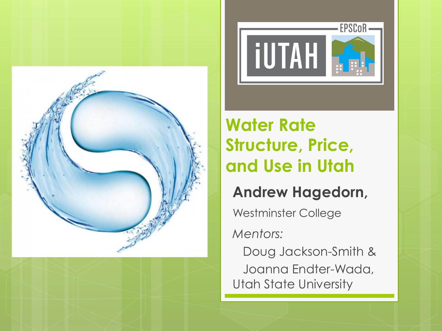





### **Water Rate Structure, Price, and Use in Utah**

#### **Andrew Hagedorn,**

Westminster College

*Mentors:* 

 Doug Jackson-Smith & Joanna Endter-Wada, Utah State University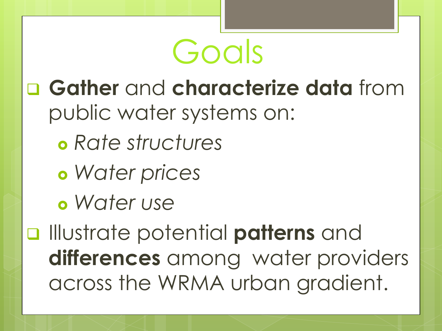

- q **Gather** and **characterize data** from public water systems on:
	- *Rate structures*
	- *Water prices*
	- *Water use*

q Illustrate potential **patterns** and **differences** among water providers across the WRMA urban gradient.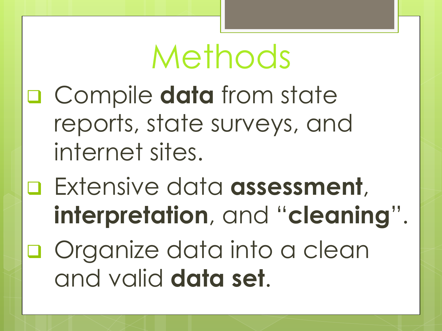# Methods

- q Compile **data** from state reports, state surveys, and internet sites.
- Extensive data **assessment**, **interpretation**, and "**cleaning**".
- **Q** Organize data into a clean and valid **data set**.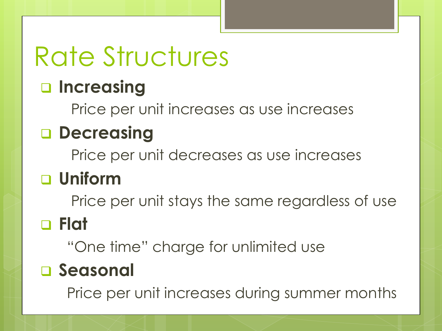# Rate Structures

### q **Increasing**

Price per unit increases as use increases

### q **Decreasing**

Price per unit decreases as use increases

### q **Uniform**

Price per unit stays the same regardless of use

### q **Flat**

"One time" charge for unlimited use

### q **Seasonal**

Price per unit increases during summer months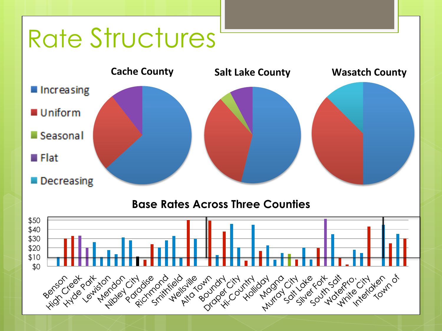## Rate Structures



#### **Base Rates Across Three Counties**

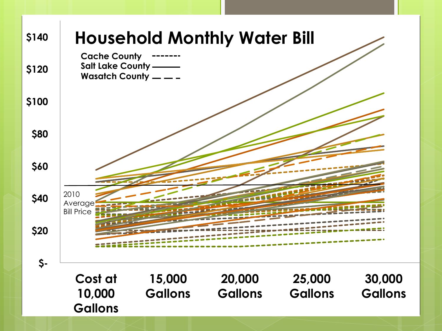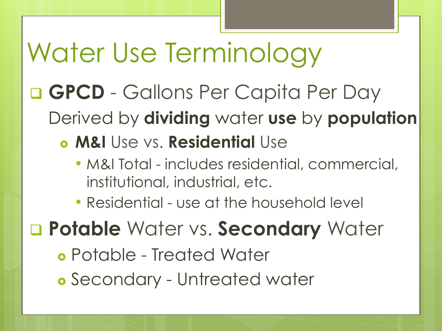### q **GPCD** - Gallons Per Capita Per Day Derived by **dividing** water **use** by **population M&I** Use vs. **Residential** Use • M&I Total - includes residential, commercial, institutional, industrial, etc. • Residential - use at the household level q **Potable** Water vs. **Secondary** Water Potable - Treated Water Secondary - Untreated water Water Use Terminology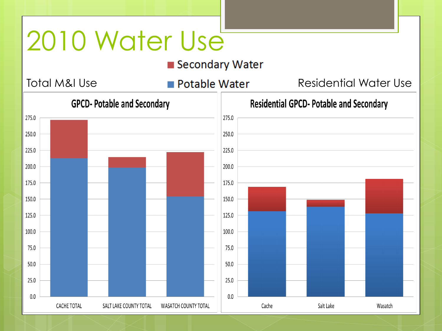## 2010 Water Use

■ Secondary Water

Total M&I Use **Residential Water** Residential Water Use

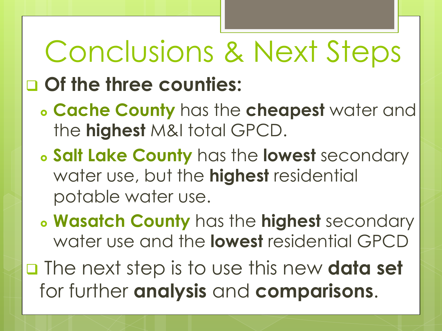# Conclusions & Next Steps

### q **Of the three counties:**

- **Cache County** has the **cheapest** water and the **highest** M&I total GPCD.
- **Salt Lake County** has the **lowest** secondary water use, but the **highest** residential potable water use.
- **Wasatch County** has the **highest** secondary water use and the **lowest** residential GPCD
- q The next step is to use this new **data set**  for further **analysis** and **comparisons**.